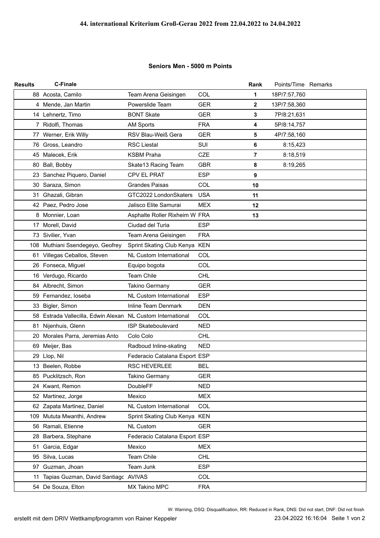## **Seniors Men - 5000 m Points**

| <b>Results</b> | <b>C-Finale</b>                                             |                                |            | Rank           | Points/Time Remarks |  |
|----------------|-------------------------------------------------------------|--------------------------------|------------|----------------|---------------------|--|
|                | 88 Acosta, Camilo                                           | Team Arena Geisingen           | COL        | 1              | 18P/7:57,760        |  |
|                | 4 Mende, Jan Martin                                         | Powerslide Team                | <b>GER</b> | $\mathbf 2$    | 13P/7:58,360        |  |
|                | 14 Lehnertz, Timo                                           | <b>BONT Skate</b>              | <b>GER</b> | 3              | 7P/8:21,631         |  |
|                | 7 Ridolfi, Thomas                                           | <b>AM Sports</b>               | <b>FRA</b> | 4              | 5P/8:14,757         |  |
|                | 77 Werner, Erik Willy                                       | RSV Blau-Weiß Gera             | <b>GER</b> | 5              | 4P/7:58,160         |  |
|                | 76 Gross, Leandro                                           | <b>RSC Liestal</b>             | <b>SUI</b> | 6              | 8:15,423            |  |
|                | 45 Malecek, Erik                                            | <b>KSBM Praha</b>              | <b>CZE</b> | $\overline{7}$ | 8:18,519            |  |
|                | 80 Ball, Bobby                                              | Skate13 Racing Team            | <b>GBR</b> | 8              | 8:19,265            |  |
|                | 23 Sanchez Piquero, Daniel                                  | CPV EL PRAT                    | <b>ESP</b> | 9              |                     |  |
|                | 30 Saraza, Simon                                            | <b>Grandes Paisas</b>          | COL        | 10             |                     |  |
|                | 31 Ghazali, Gibran                                          | GTC2022 LondonSkaters          | <b>USA</b> | 11             |                     |  |
|                | 42 Paez, Pedro Jose                                         | Jalisco Elite Samurai          | <b>MEX</b> | 12             |                     |  |
|                | 8 Monnier, Loan                                             | Asphalte Roller Rixheim W FRA  |            | 13             |                     |  |
|                | 17 Morell, David                                            | Ciudad del Turia               | <b>ESP</b> |                |                     |  |
|                | 73 Sivilier, Yvan                                           | Team Arena Geisingen           | <b>FRA</b> |                |                     |  |
|                | 108 Muthiani Ssendegeyo, Geofrey                            | Sprint Skating Club Kenya KEN  |            |                |                     |  |
|                | 61 Villegas Ceballos, Steven                                | <b>NL Custom International</b> | COL        |                |                     |  |
|                | 26 Fonseca, Miguel                                          | Equipo bogota                  | COL        |                |                     |  |
|                | 16 Verdugo, Ricardo                                         | <b>Team Chile</b>              | <b>CHL</b> |                |                     |  |
|                | 84 Albrecht, Simon                                          | <b>Takino Germany</b>          | <b>GER</b> |                |                     |  |
|                | 59 Fernandez, loseba                                        | <b>NL Custom International</b> | <b>ESP</b> |                |                     |  |
|                | 33 Bigler, Simon                                            | Inline Team Denmark            | <b>DEN</b> |                |                     |  |
|                | 58 Estrada Vallecilla, Edwin Alexan NL Custom International |                                | COL        |                |                     |  |
| 81             | Nijenhuis, Glenn                                            | ISP Skateboulevard             | <b>NED</b> |                |                     |  |
|                | 20 Morales Parra, Jeremias Anto                             | Colo Colo                      | <b>CHL</b> |                |                     |  |
|                | 69 Meijer, Bas                                              | Radboud Inline-skating         | <b>NED</b> |                |                     |  |
|                | 29 Llop, Nil                                                | Federacio Catalana Esport ESP  |            |                |                     |  |
|                | 13 Beelen, Robbe                                            | RSC HEVERLEE                   | <b>BEL</b> |                |                     |  |
|                | 85 Pucklitzsch, Ron                                         | <b>Takino Germany</b>          | <b>GER</b> |                |                     |  |
|                | 24 Kwant, Remon                                             | DoubleFF                       | <b>NED</b> |                |                     |  |
| 52             | Martinez, Jorge                                             | Mexico                         | <b>MEX</b> |                |                     |  |
|                | 62 Zapata Martinez, Daniel                                  | <b>NL Custom International</b> | COL        |                |                     |  |
|                | 109 Mututa Mwanthi, Andrew                                  | Sprint Skating Club Kenya KEN  |            |                |                     |  |
|                | 56 Ramali, Etienne                                          | <b>NL Custom</b>               | <b>GER</b> |                |                     |  |
|                | 28 Barbera, Stephane                                        | Federacio Catalana Esport ESP  |            |                |                     |  |
| 51             | Garcia, Edgar                                               | Mexico                         | <b>MEX</b> |                |                     |  |
|                | 95 Silva, Lucas                                             | Team Chile                     | <b>CHL</b> |                |                     |  |
|                | 97 Guzman, Jhoan                                            | Team Junk                      | <b>ESP</b> |                |                     |  |
| 11             | Tapias Guzman, David Santiagc AVIVAS                        |                                | COL        |                |                     |  |
|                | 54 De Souza, Elton                                          | MX Takino MPC                  | <b>FRA</b> |                |                     |  |

23.04.2022 16:16:04 Seite 1 von 2